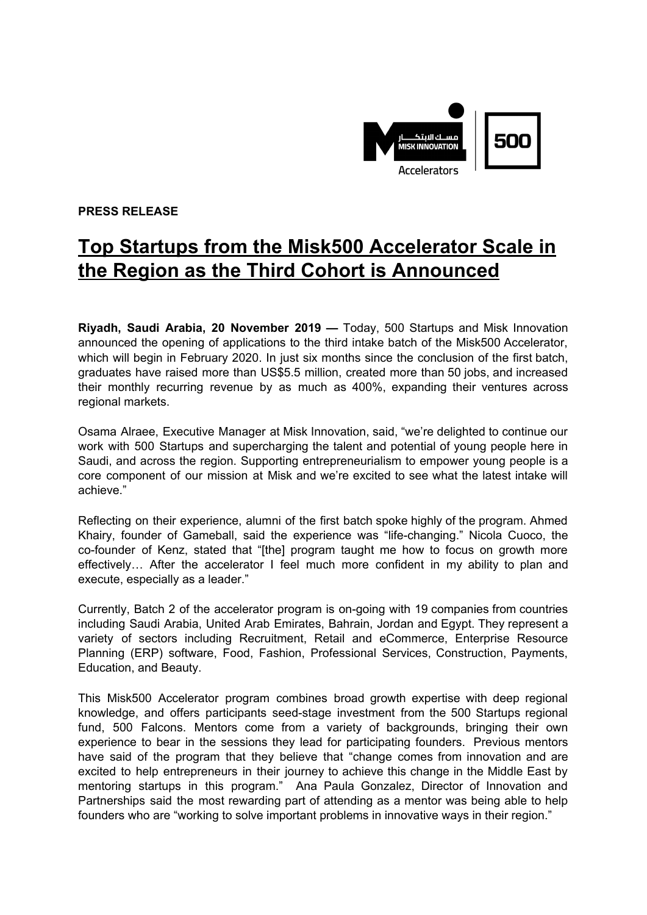

**PRESS RELEASE**

## **Top Startups from the Misk500 Accelerator Scale in the Region as the Third Cohort is Announced**

**Riyadh, Saudi Arabia, 20 November 2019 —** Today, 500 Startups and Misk Innovation announced the opening of applications to the third intake batch of the Misk500 Accelerator, which will begin in February 2020. In just six months since the conclusion of the first batch, graduates have raised more than US\$5.5 million, created more than 50 jobs, and increased their monthly recurring revenue by as much as 400%, expanding their ventures across regional markets.

Osama Alraee, Executive Manager at Misk Innovation, said, "we're delighted to continue our work with 500 Startups and supercharging the talent and potential of young people here in Saudi, and across the region. Supporting entrepreneurialism to empower young people is a core component of our mission at Misk and we're excited to see what the latest intake will achieve."

Reflecting on their experience, alumni of the first batch spoke highly of the program. Ahmed Khairy, founder of Gameball, said the experience was "life-changing." Nicola Cuoco, the co-founder of Kenz, stated that "[the] program taught me how to focus on growth more effectively… After the accelerator I feel much more confident in my ability to plan and execute, especially as a leader."

Currently, Batch 2 of the accelerator program is on-going with 19 companies from countries including Saudi Arabia, United Arab Emirates, Bahrain, Jordan and Egypt. They represent a variety of sectors including Recruitment, Retail and eCommerce, Enterprise Resource Planning (ERP) software, Food, Fashion, Professional Services, Construction, Payments, Education, and Beauty.

This Misk500 Accelerator program combines broad growth expertise with deep regional knowledge, and offers participants seed-stage investment from the 500 Startups regional fund, 500 Falcons. Mentors come from a variety of backgrounds, bringing their own experience to bear in the sessions they lead for participating founders. Previous mentors have said of the program that they believe that "change comes from innovation and are excited to help entrepreneurs in their journey to achieve this change in the Middle East by mentoring startups in this program." Ana Paula Gonzalez, Director of Innovation and Partnerships said the most rewarding part of attending as a mentor was being able to help founders who are "working to solve important problems in innovative ways in their region."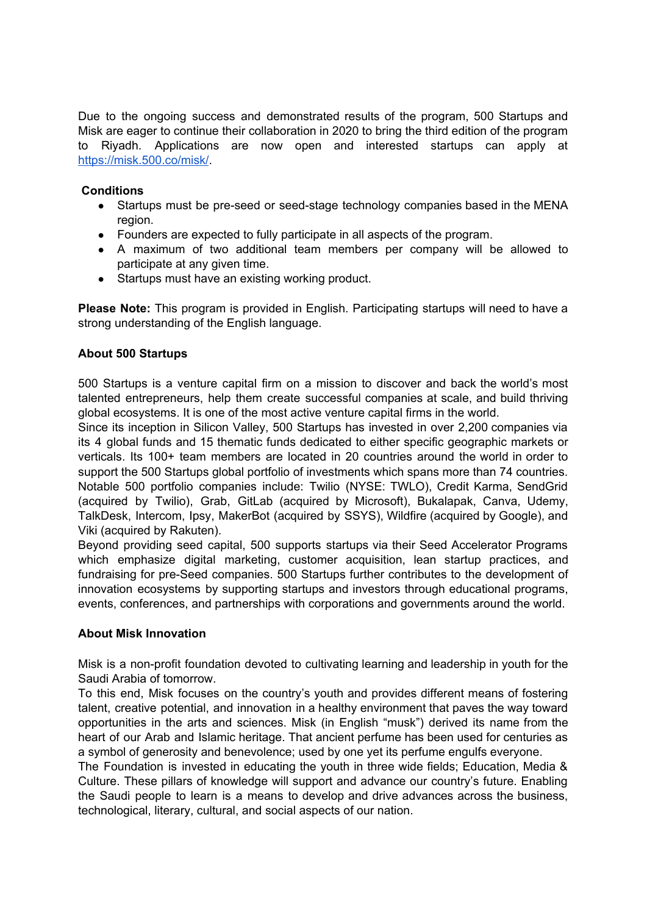Due to the ongoing success and demonstrated results of the program, 500 Startups and Misk are eager to continue their collaboration in 2020 to bring the third edition of the program to Riyadh. Applications are now open and interested startups can apply at <https://misk.500.co/misk/>.

## **Conditions**

- Startups must be pre-seed or seed-stage technology companies based in the MENA region.
- Founders are expected to fully participate in all aspects of the program.
- A maximum of two additional team members per company will be allowed to participate at any given time.
- Startups must have an existing working product.

**Please Note:** This program is provided in English. Participating startups will need to have a strong understanding of the English language.

## **About 500 Startups**

500 Startups is a venture capital firm on a mission to discover and back the world's most talented entrepreneurs, help them create successful companies at scale, and build thriving global ecosystems. It is one of the most active venture capital firms in the world.

Since its inception in Silicon Valley, 500 Startups has invested in over 2,200 companies via its 4 global funds and 15 thematic funds dedicated to either specific geographic markets or verticals. Its 100+ team members are located in 20 countries around the world in order to support the 500 Startups global portfolio of investments which spans more than 74 countries. Notable 500 portfolio companies include: Twilio (NYSE: TWLO), Credit Karma, SendGrid (acquired by Twilio), Grab, GitLab (acquired by Microsoft), Bukalapak, Canva, Udemy, TalkDesk, Intercom, Ipsy, MakerBot (acquired by SSYS), Wildfire (acquired by Google), and Viki (acquired by Rakuten).

Beyond providing seed capital, 500 supports startups via their Seed Accelerator Programs which emphasize digital marketing, customer acquisition, lean startup practices, and fundraising for pre-Seed companies. 500 Startups further contributes to the development of innovation ecosystems by supporting startups and investors through educational programs, events, conferences, and partnerships with corporations and governments around the world.

## **About Misk Innovation**

Misk is a non-profit foundation devoted to cultivating learning and leadership in youth for the Saudi Arabia of tomorrow.

To this end, Misk focuses on the country's youth and provides different means of fostering talent, creative potential, and innovation in a healthy environment that paves the way toward opportunities in the arts and sciences. Misk (in English "musk") derived its name from the heart of our Arab and Islamic heritage. That ancient perfume has been used for centuries as a symbol of generosity and benevolence; used by one yet its perfume engulfs everyone.

The Foundation is invested in educating the youth in three wide fields; Education, Media & Culture. These pillars of knowledge will support and advance our country's future. Enabling the Saudi people to learn is a means to develop and drive advances across the business, technological, literary, cultural, and social aspects of our nation.